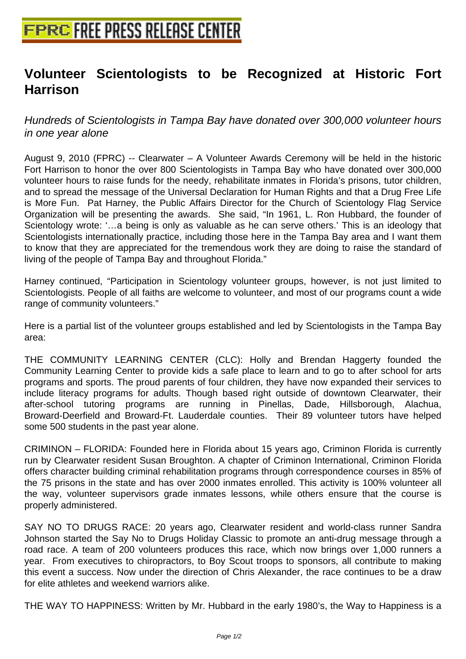## **[Volunteer Scientologists to be](http://www.free-press-release-center.info) Recognized at Historic Fort Harrison**

Hundreds of Scientologists in Tampa Bay have donated over 300,000 volunteer hours in one year alone

August 9, 2010 (FPRC) -- Clearwater – A Volunteer Awards Ceremony will be held in the historic Fort Harrison to honor the over 800 Scientologists in Tampa Bay who have donated over 300,000 volunteer hours to raise funds for the needy, rehabilitate inmates in Florida's prisons, tutor children, and to spread the message of the Universal Declaration for Human Rights and that a Drug Free Life is More Fun. Pat Harney, the Public Affairs Director for the Church of Scientology Flag Service Organization will be presenting the awards. She said, "In 1961, L. Ron Hubbard, the founder of Scientology wrote: '…a being is only as valuable as he can serve others.' This is an ideology that Scientologists internationally practice, including those here in the Tampa Bay area and I want them to know that they are appreciated for the tremendous work they are doing to raise the standard of living of the people of Tampa Bay and throughout Florida."

Harney continued, "Participation in Scientology volunteer groups, however, is not just limited to Scientologists. People of all faiths are welcome to volunteer, and most of our programs count a wide range of community volunteers."

Here is a partial list of the volunteer groups established and led by Scientologists in the Tampa Bay area:

THE COMMUNITY LEARNING CENTER (CLC): Holly and Brendan Haggerty founded the Community Learning Center to provide kids a safe place to learn and to go to after school for arts programs and sports. The proud parents of four children, they have now expanded their services to include literacy programs for adults. Though based right outside of downtown Clearwater, their after-school tutoring programs are running in Pinellas, Dade, Hillsborough, Alachua, Broward-Deerfield and Broward-Ft. Lauderdale counties. Their 89 volunteer tutors have helped some 500 students in the past year alone.

CRIMINON – FLORIDA: Founded here in Florida about 15 years ago, Criminon Florida is currently run by Clearwater resident Susan Broughton. A chapter of Criminon International, Criminon Florida offers character building criminal rehabilitation programs through correspondence courses in 85% of the 75 prisons in the state and has over 2000 inmates enrolled. This activity is 100% volunteer all the way, volunteer supervisors grade inmates lessons, while others ensure that the course is properly administered.

SAY NO TO DRUGS RACE: 20 years ago, Clearwater resident and world-class runner Sandra Johnson started the Say No to Drugs Holiday Classic to promote an anti-drug message through a road race. A team of 200 volunteers produces this race, which now brings over 1,000 runners a year. From executives to chiropractors, to Boy Scout troops to sponsors, all contribute to making this event a success. Now under the direction of Chris Alexander, the race continues to be a draw for elite athletes and weekend warriors alike.

THE WAY TO HAPPINESS: Written by Mr. Hubbard in the early 1980's, the Way to Happiness is a